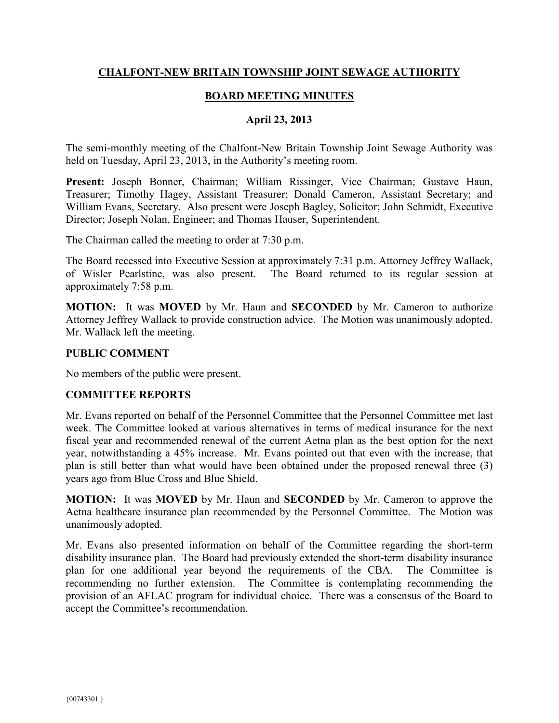## **CHALFONT-NEW BRITAIN TOWNSHIP JOINT SEWAGE AUTHORITY**

# **BOARD MEETING MINUTES**

### **April 23, 2013**

The semi-monthly meeting of the Chalfont-New Britain Township Joint Sewage Authority was held on Tuesday, April 23, 2013, in the Authority's meeting room.

**Present:** Joseph Bonner, Chairman; William Rissinger, Vice Chairman; Gustave Haun, Treasurer; Timothy Hagey, Assistant Treasurer; Donald Cameron, Assistant Secretary; and William Evans, Secretary. Also present were Joseph Bagley, Solicitor; John Schmidt, Executive Director; Joseph Nolan, Engineer; and Thomas Hauser, Superintendent.

The Chairman called the meeting to order at 7:30 p.m.

The Board recessed into Executive Session at approximately 7:31 p.m. Attorney Jeffrey Wallack, of Wisler Pearlstine, was also present. The Board returned to its regular session at approximately 7:58 p.m.

**MOTION:** It was **MOVED** by Mr. Haun and **SECONDED** by Mr. Cameron to authorize Attorney Jeffrey Wallack to provide construction advice. The Motion was unanimously adopted. Mr. Wallack left the meeting.

#### **PUBLIC COMMENT**

No members of the public were present.

#### **COMMITTEE REPORTS**

Mr. Evans reported on behalf of the Personnel Committee that the Personnel Committee met last week. The Committee looked at various alternatives in terms of medical insurance for the next fiscal year and recommended renewal of the current Aetna plan as the best option for the next year, notwithstanding a 45% increase. Mr. Evans pointed out that even with the increase, that plan is still better than what would have been obtained under the proposed renewal three (3) years ago from Blue Cross and Blue Shield.

**MOTION:** It was **MOVED** by Mr. Haun and **SECONDED** by Mr. Cameron to approve the Aetna healthcare insurance plan recommended by the Personnel Committee. The Motion was unanimously adopted.

Mr. Evans also presented information on behalf of the Committee regarding the short-term disability insurance plan. The Board had previously extended the short-term disability insurance plan for one additional year beyond the requirements of the CBA. The Committee is recommending no further extension. The Committee is contemplating recommending the provision of an AFLAC program for individual choice. There was a consensus of the Board to accept the Committee's recommendation.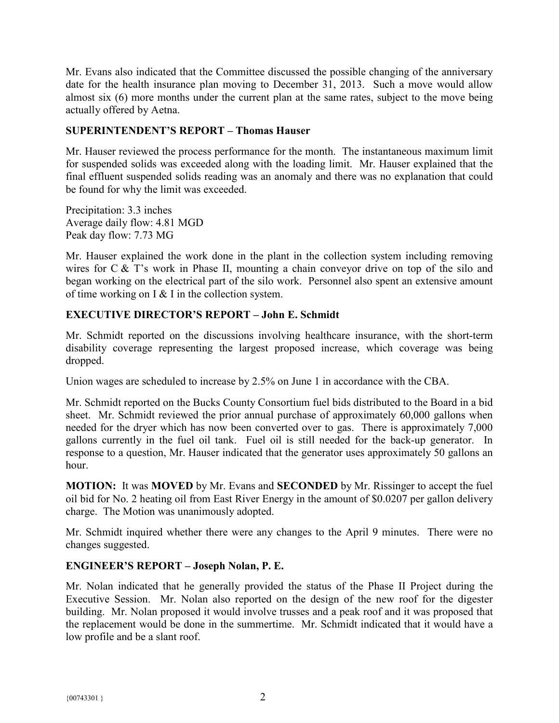Mr. Evans also indicated that the Committee discussed the possible changing of the anniversary date for the health insurance plan moving to December 31, 2013. Such a move would allow almost six (6) more months under the current plan at the same rates, subject to the move being actually offered by Aetna.

# **SUPERINTENDENT'S REPORT – Thomas Hauser**

Mr. Hauser reviewed the process performance for the month. The instantaneous maximum limit for suspended solids was exceeded along with the loading limit. Mr. Hauser explained that the final effluent suspended solids reading was an anomaly and there was no explanation that could be found for why the limit was exceeded.

Precipitation: 3.3 inches Average daily flow: 4.81 MGD Peak day flow: 7.73 MG

Mr. Hauser explained the work done in the plant in the collection system including removing wires for C & T's work in Phase II, mounting a chain conveyor drive on top of the silo and began working on the electrical part of the silo work. Personnel also spent an extensive amount of time working on  $I < I$  in the collection system.

## **EXECUTIVE DIRECTOR'S REPORT – John E. Schmidt**

Mr. Schmidt reported on the discussions involving healthcare insurance, with the short-term disability coverage representing the largest proposed increase, which coverage was being dropped.

Union wages are scheduled to increase by 2.5% on June 1 in accordance with the CBA.

Mr. Schmidt reported on the Bucks County Consortium fuel bids distributed to the Board in a bid sheet. Mr. Schmidt reviewed the prior annual purchase of approximately 60,000 gallons when needed for the dryer which has now been converted over to gas. There is approximately 7,000 gallons currently in the fuel oil tank. Fuel oil is still needed for the back-up generator. In response to a question, Mr. Hauser indicated that the generator uses approximately 50 gallons an hour.

**MOTION:** It was **MOVED** by Mr. Evans and **SECONDED** by Mr. Rissinger to accept the fuel oil bid for No. 2 heating oil from East River Energy in the amount of \$0.0207 per gallon delivery charge. The Motion was unanimously adopted.

Mr. Schmidt inquired whether there were any changes to the April 9 minutes. There were no changes suggested.

## **ENGINEER'S REPORT – Joseph Nolan, P. E.**

Mr. Nolan indicated that he generally provided the status of the Phase II Project during the Executive Session. Mr. Nolan also reported on the design of the new roof for the digester building. Mr. Nolan proposed it would involve trusses and a peak roof and it was proposed that the replacement would be done in the summertime. Mr. Schmidt indicated that it would have a low profile and be a slant roof.